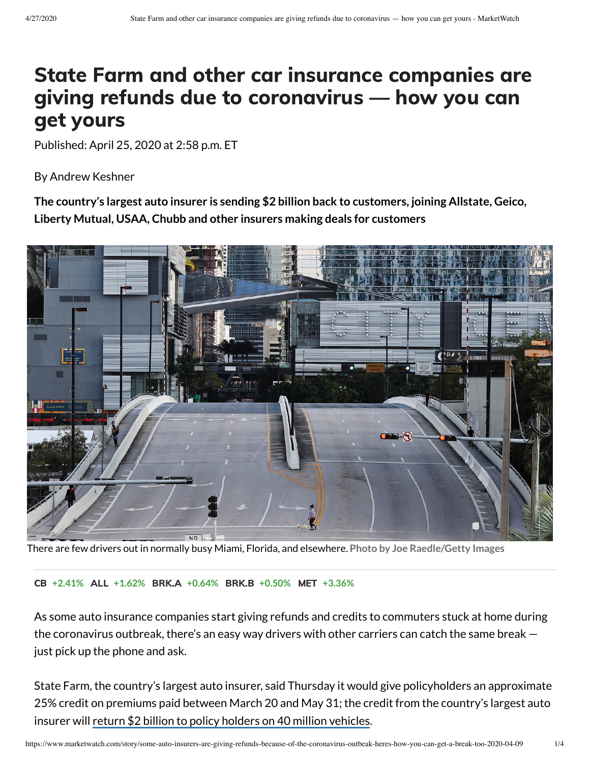## State Farm and other car insurance companies are giving refunds due to coronavirus — how you can get yours

Published: April 25, 2020 at 2:58 p.m. ET

By Andrew Keshner

**The country's largest auto insurer is sending \$2 billion back to customers, joining Allstate, Geico, Liberty Mutual, USAA, Chubb and other insurers making deals for customers**



There are few drivers out in normally busy Miami, Florida, and elsewhere. **Photo by Joe Raedle/Getty Images**

CB **[+2.41%](https://www.marketwatch.com/investing/stock/CB?mod=refsymb_mw)** ALL **[+1.62%](https://www.marketwatch.com/investing/stock/ALL?mod=refsymb_mw)** BRK.A **[+0.64%](https://www.marketwatch.com/investing/stock/BRK.A?mod=refsymb_mw)** BRK.B **[+0.50%](https://www.marketwatch.com/investing/stock/BRK.B?mod=refsymb_mw)** MET **[+3.36%](https://www.marketwatch.com/investing/stock/MET?mod=refsymb_mw)**

As some auto insurance companies start giving refunds and credits to commuters stuck at home during the coronavirus outbreak, there's an easy way drivers with other carriers can catch the same break just pick up the phone and ask.

State Farm, the country's largest auto insurer, said Thursday it would give policyholders an approximate 25% credit on premiums paid between March 20 and May 31; the credit from the country's largest auto insurer will return \$2 billion to policy holders on 40 million [vehicles](https://www.marketwatch.com/story/state-farm-to-slash-2-billion-in-car-insurance-premiums-amid-pandemic-2020-04-09?mod=article_inline).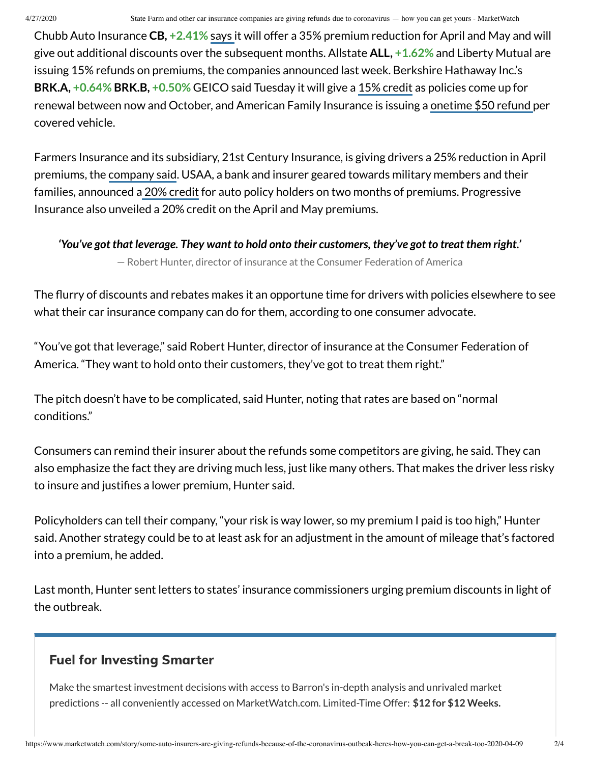Chubb Auto Insurance **CB, [+2.41%](https://www.marketwatch.com/investing/stock/CB?mod=MW_story_quote)** [says](https://www.marketwatch.com/story/chubb-becomes-latest-car-insurer-to-cut-premiums-during-coronavirus-pandemic-2020-04-13?mod=article_inline) it will offer a 35% premium reduction for April and May and will give out additional discounts over the subsequent months. Allstate **ALL, [+1.62%](https://www.marketwatch.com/investing/stock/ALL?mod=MW_story_quote)** and Liberty Mutual are issuing 15% refunds on premiums, the companies announced last week. Berkshire Hathaway Inc.'s **BRK.A, [+0.64%](https://www.marketwatch.com/investing/stock/BRK.A?mod=MW_story_quote) BRK.B, [+0.50%](https://www.marketwatch.com/investing/stock/BRK.B?mod=MW_story_quote)** GEICO said Tuesday it will give a 15% [credit](https://www.marketwatch.com/story/berkshire-hathaways-geico-to-credit-its-vehicle-policyholders-2020-04-07?mod=article_inline) as policies come up for renewal between now and October, and American Family Insurance is issuing a [onetime](https://www.amfam.com/about/coronavirus?mod=article_inline) \$50 refund per covered vehicle.

Farmers Insurance and its subsidiary, 21st Century Insurance, is giving drivers a 25% reduction in April premiums, the [company](https://www.prnewswire.com/news-releases/farmers-and-21st-century-branded-automobile-customers-will-receive-a-25-reduction-in-their-april-premium-301037858.html?mod=article_inline) said. USAA, a bank and insurer geared towards military members and their families, announced a 20% [credit](https://communities.usaa.com/t5/Press-Releases/USAA-to-Return-520-Million-to-Members/ba-p/228150?_ga=2.62224620.1550833156.1586443743-1048293291.1586443743&_gac=1.246023728.1586443743.EAIaIQobChMIjsHOu8vb6AIVTMDICh06BQNUEAAYASAAEgJl0vD_BwE&mod=article_inline) for auto policy holders on two months of premiums. Progressive Insurance also unveiled a 20% credit on the April and May premiums.

*'You've got that leverage. They want to hold onto their customers, they've got to treat them right.'*

— Robert Hunter, director of insurance at the Consumer Federation of America

The flurry of discounts and rebates makes it an opportune time for drivers with policies elsewhere to see what their car insurance company can do for them, according to one consumer advocate.

"You've got that leverage," said Robert Hunter, director of insurance at the Consumer Federation of America. "They want to hold onto their customers, they've got to treat them right."

The pitch doesn't have to be complicated, said Hunter, noting that rates are based on "normal conditions."

Consumers can remind their insurer about the refunds some competitors are giving, he said. They can also emphasize the fact they are driving much less, just like many others. That makes the driver less risky to insure and justifies a lower premium, Hunter said.

Policyholders can tell their company, "your risk is way lower, so my premium I paid is too high," Hunter said. Another strategy could be to at least ask for an adjustment in the amount of mileage that's factored into a premium, he added.

Last month, Hunter sent letters to states' insurance commissioners urging premium discounts in light of the outbreak.

## Fuel for Investing Smarter

Make the smartest investment decisions with access to Barron's in-depth analysis and unrivaled market predictions -- all conveniently accessed on MarketWatch.com. Limited-Time Offer: **\$12 for \$12 Weeks.**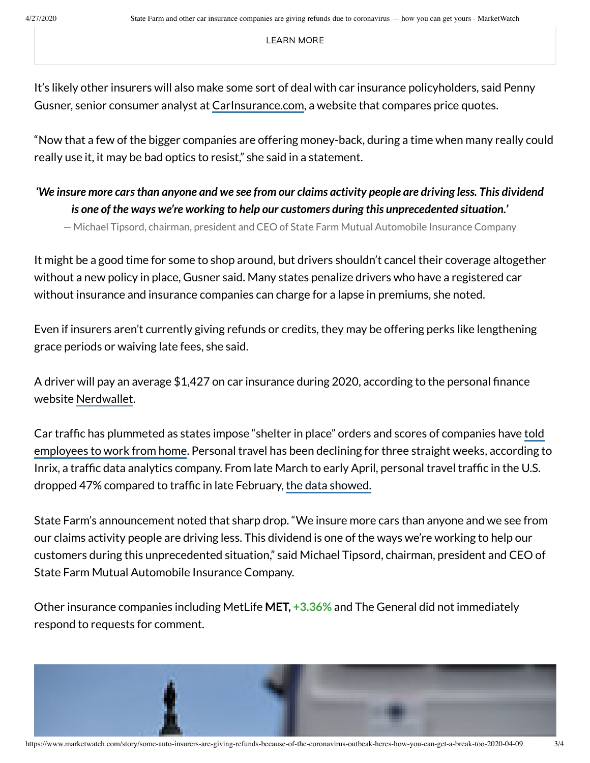[LEARN](https://store.barrons.com/shop/US/US/barmw1219/?inttrackingCode=aaqvsw1x&icid=BAR_ON_NA_ACQ_NA&n2IKsaD9=n2IKsaD9) MORE

It's likely other insurers will also make some sort of deal with car insurance policyholders, said Penny Gusner, senior consumer analyst at [CarInsurance.com,](https://www.carinsurance.com/?mod=article_inline) a website that compares price quotes.

"Now that a few of the bigger companies are offering money-back, during a time when many really could really use it, it may be bad optics to resist," she said in a statement.

## We insure more cars than anyone and we see from our claims activity people are driving less. This dividend *is one of the ways we're working to help our customers during this unprecedented situation.'*

— Michael Tipsord, chairman, president and CEO of State Farm Mutual Automobile Insurance Company

It might be a good time for some to shop around, but drivers shouldn't cancel their coverage altogether without a new policy in place, Gusner said. Many states penalize drivers who have a registered car without insurance and insurance companies can charge for a lapse in premiums, she noted.

Even if insurers aren't currently giving refunds or credits, they may be offering perks like lengthening grace periods or waiving late fees, she said.

A driver will pay an average  $$1,427$  on car insurance during 2020, according to the personal finance website [Nerdwallet](https://www.nerdwallet.com/blog/insurance/car-insurance-basics/how-much-is-car-insurance/?mod=article_inline).

Car traffic has [plummeted as](https://www.marketwatch.com/story/facebook-apple-google-and-twitter-ask-staff-to-work-remotely-due-to-coronavirus-heres-the-bad-news-for-the-rest-of-america-2020-03-08?mod=article_inline) states impose "shelter in place" orders and scores of companies have told employees to work from [home](https://www.marketwatch.com/story/facebook-apple-google-and-twitter-ask-staff-to-work-remotely-due-to-coronavirus-heres-the-bad-news-for-the-rest-of-america-2020-03-08?mod=article_inline). Personal travel has been declining for three straight weeks, according to Inrix, a traffic data analytics company. From late March to early April, personal travel traffic in the U.S. dropped 47% compared to traffic in late February, the data [showed.](https://inrix.com/blog/2020/04/covid19-us-traffic-volume-synopsis-3/?mod=article_inline)

State Farm's announcement noted that sharp drop. "We insure more cars than anyone and we see from our claims activity people are driving less. This dividend is one of the ways we're working to help our customers during this unprecedented situation," said Michael Tipsord, chairman, president and CEO of State Farm Mutual Automobile Insurance Company.

Other insurance companies including MetLife **MET, [+3.36%](https://www.marketwatch.com/investing/stock/MET?mod=MW_story_quote)** and The General did not immediately respond to requests for comment.